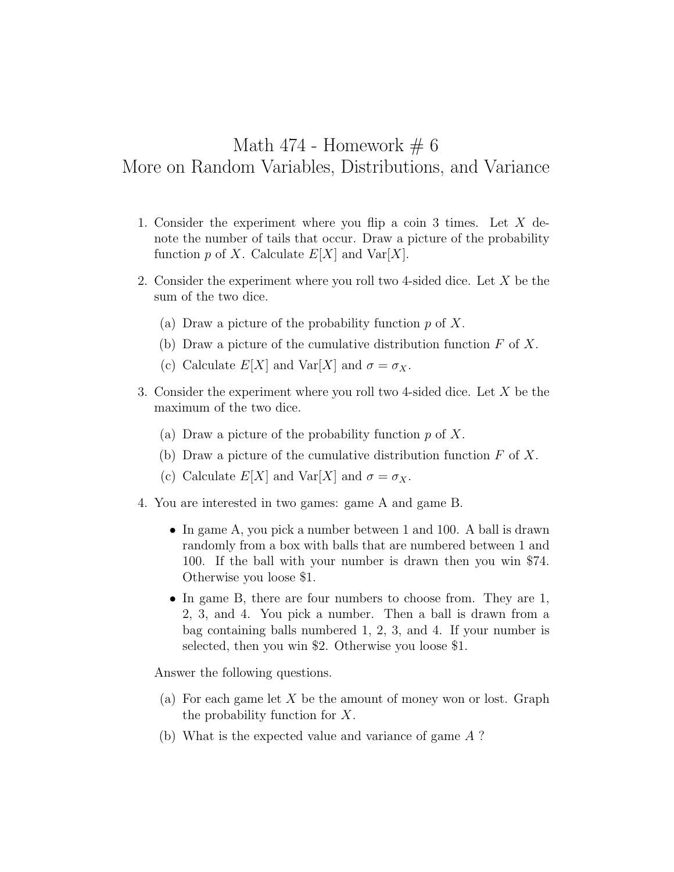## Math 474 - Homework  $\# 6$ More on Random Variables, Distributions, and Variance

- 1. Consider the experiment where you flip a coin 3 times. Let *X* denote the number of tails that occur. Draw a picture of the probability function  $p$  of  $X$ . Calculate  $E[X]$  and  $Var[X]$ .
- 2. Consider the experiment where you roll two 4-sided dice. Let *X* be the sum of the two dice.
	- (a) Draw a picture of the probability function *p* of *X*.
	- (b) Draw a picture of the cumulative distribution function *F* of *X*.
	- (c) Calculate  $E[X]$  and  $Var[X]$  and  $\sigma = \sigma_X$ .
- 3. Consider the experiment where you roll two 4-sided dice. Let *X* be the maximum of the two dice.
	- (a) Draw a picture of the probability function *p* of *X*.
	- (b) Draw a picture of the cumulative distribution function *F* of *X*.
	- (c) Calculate  $E[X]$  and  $Var[X]$  and  $\sigma = \sigma_X$ .
- 4. You are interested in two games: game A and game B.
	- In game A, you pick a number between 1 and 100. A ball is drawn randomly from a box with balls that are numbered between 1 and 100. If the ball with your number is drawn then you win \$74. Otherwise you loose \$1.
	- In game B, there are four numbers to choose from. They are 1, 2, 3, and 4. You pick a number. Then a ball is drawn from a bag containing balls numbered 1, 2, 3, and 4. If your number is selected, then you win \$2. Otherwise you loose \$1.

Answer the following questions.

- (a) For each game let *X* be the amount of money won or lost. Graph the probability function for *X*.
- (b) What is the expected value and variance of game *A* ?